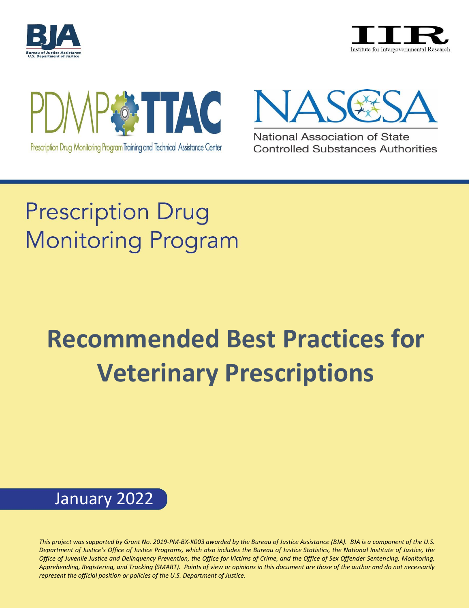







National Association of State **Controlled Substances Authorities** 

## **Prescription Drug Monitoring Program**

# **Recommended Best Practices for Veterinary Prescriptions**

### January 2022

1 *represent the official position or policies of the U.S. Department of Justice. This project was supported by Grant No. 2019-PM-BX-K003 awarded by the Bureau of Justice Assistance (BJA). BJA is a component of the U.S. Department of Justice's Office of Justice Programs, which also includes the Bureau of Justice Statistics, the National Institute of Justice, the Office of Juvenile Justice and Delinquency Prevention, the Office for Victims of Crime, and the Office of Sex Offender Sentencing, Monitoring, Apprehending, Registering, and Tracking (SMART). Points of view or opinions in this document are those of the author and do not necessarily*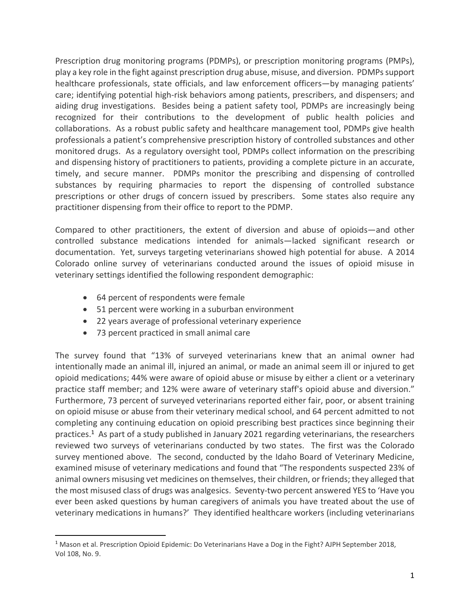Prescription drug monitoring programs (PDMPs), or prescription monitoring programs (PMPs), play a key role in the fight against prescription drug abuse, misuse, and diversion. PDMPssupport healthcare professionals, state officials, and law enforcement officers—by managing patients' care; identifying potential high-risk behaviors among patients, prescribers, and dispensers; and aiding drug investigations. Besides being a patient safety tool, PDMPs are increasingly being recognized for their contributions to the development of public health policies and collaborations. As a robust public safety and healthcare management tool, PDMPs give health professionals a patient's comprehensive prescription history of controlled substances and other monitored drugs. As a regulatory oversight tool, PDMPs collect information on the prescribing and dispensing history of practitioners to patients, providing a complete picture in an accurate, timely, and secure manner. PDMPs monitor the prescribing and dispensing of controlled substances by requiring pharmacies to report the dispensing of controlled substance prescriptions or other drugs of concern issued by prescribers. Some states also require any practitioner dispensing from their office to report to the PDMP.

Compared to other practitioners, the extent of diversion and abuse of opioids—and other controlled substance medications intended for animals—lacked significant research or documentation. Yet, surveys targeting veterinarians showed high potential for abuse. A 2014 Colorado online survey of veterinarians conducted around the issues of opioid misuse in veterinary settings identified the following respondent demographic:

- 64 percent of respondents were female
- 51 percent were working in a suburban environment
- 22 years average of professional veterinary experience
- 73 percent practiced in small animal care

The survey found that "13% of surveyed veterinarians knew that an animal owner had intentionally made an animal ill, injured an animal, or made an animal seem ill or injured to get opioid medications; 44% were aware of opioid abuse or misuse by either a client or a veterinary practice staff member; and 12% were aware of veterinary staff's opioid abuse and diversion." Furthermore, 73 percent of surveyed veterinarians reported either fair, poor, or absent training on opioid misuse or abuse from their veterinary medical school, and 64 percent admitted to not completing any continuing education on opioid prescribing best practices since beginning their practices.<sup>1</sup> As part of a study published in January 2021 regarding veterinarians, the researchers reviewed two surveys of veterinarians conducted by two states. The first was the Colorado survey mentioned above. The second, conducted by the Idaho Board of Veterinary Medicine, examined misuse of veterinary medications and found that "The respondents suspected 23% of animal owners misusing vet medicines on themselves, their children, or friends; they alleged that the most misused class of drugs was analgesics. Seventy-two percent answered YES to 'Have you ever been asked questions by human caregivers of animals you have treated about the use of veterinary medications in humans?' They identified healthcare workers (including veterinarians

<sup>&</sup>lt;sup>1</sup> Mason et al. Prescription Opioid Epidemic: Do Veterinarians Have a Dog in the Fight? AJPH September 2018, Vol 108, No. 9.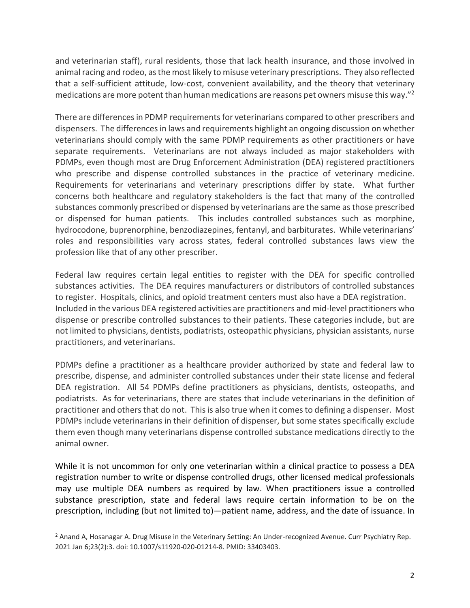and veterinarian staff), rural residents, those that lack health insurance, and those involved in animal racing and rodeo, as the most likely to misuse veterinary prescriptions. They also reflected that a self-sufficient attitude, low-cost, convenient availability, and the theory that veterinary medications are more potent than human medications are reasons pet owners misuse this way."<sup>2</sup>

There are differences in PDMP requirements for veterinarians compared to other prescribers and dispensers. The differences in laws and requirements highlight an ongoing discussion on whether veterinarians should comply with the same PDMP requirements as other practitioners or have separate requirements. Veterinarians are not always included as major stakeholders with PDMPs, even though most are Drug Enforcement Administration (DEA) registered practitioners who prescribe and dispense controlled substances in the practice of veterinary medicine. Requirements for veterinarians and veterinary prescriptions differ by state. What further concerns both healthcare and regulatory stakeholders is the fact that many of the controlled substances commonly prescribed or dispensed by veterinarians are the same asthose prescribed or dispensed for human patients. This includes controlled substances such as morphine, hydrocodone, buprenorphine, benzodiazepines, fentanyl, and barbiturates. While veterinarians' roles and responsibilities vary across states, federal controlled substances laws view the profession like that of any other prescriber.

Federal law requires certain legal entities to register with the DEA for specific controlled substances activities. The DEA requires manufacturers or distributors of controlled substances to register. Hospitals, clinics, and opioid treatment centers must also have a DEA registration. Included in the various DEA registered activities are practitioners and mid-level practitioners who dispense or prescribe controlled substances to their patients. These categories include, but are not limited to physicians, dentists, podiatrists, osteopathic physicians, physician assistants, nurse practitioners, and veterinarians.

PDMPs define a practitioner as a healthcare provider authorized by state and federal law to prescribe, dispense, and administer controlled substances under their state license and federal DEA registration. All 54 PDMPs define practitioners as physicians, dentists, osteopaths, and podiatrists. As for veterinarians, there are states that include veterinarians in the definition of practitioner and others that do not. This is also true when it comes to defining a dispenser. Most PDMPs include veterinarians in their definition of dispenser, but some states specifically exclude them even though many veterinarians dispense controlled substance medications directly to the animal owner.

While it is not uncommon for only one veterinarian within a clinical practice to possess a DEA registration number to write or dispense controlled drugs, other licensed medical professionals may use multiple DEA numbers as required by law. When practitioners issue a controlled substance prescription, state and federal laws require certain information to be on the prescription, including (but not limited to)—patient name, address, and the date of issuance. In

<sup>&</sup>lt;sup>2</sup> Anand A, Hosanagar A. Drug Misuse in the Veterinary Setting: An Under-recognized Avenue. Curr Psychiatry Rep. 2021 Jan 6;23(2):3. doi: 10.1007/s11920-020-01214-8. PMID: 33403403.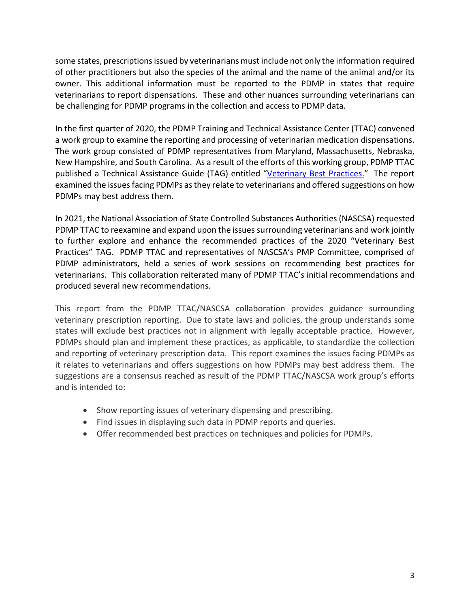some states, prescriptions issued by veterinarians must include not only the information required of other practitioners but also the species of the animal and the name of the animal and/or its owner. This additional information must be reported to the PDMP in states that require veterinarians to report dispensations. These and other nuances surrounding veterinarians can be challenging for PDMP programs in the collection and access to PDMP data.

In the first quarter of 2020, the PDMP Training and Technical Assistance Center (TTAC) convened a work group to examine the reporting and processing of veterinarian medication dispensations. The work group consisted of PDMP representatives from Maryland, Massachusetts, Nebraska, New Hampshire, and South Carolina. As a result of the efforts of this working group, PDMP TTAC published a Technical Assistance Guide (TAG) entitled "[Veterinary](https://www.pdmpassist.org/pdf/TAG_Veterinary_Best_Practices_20200710.pdf) Best Practices." The report examined the issues facing PDMPs as they relate to veterinarians and offered suggestions on how PDMPs may best address them.

In 2021, the National Association of State Controlled Substances Authorities (NASCSA) requested PDMP TTAC to reexamine and expand upon the issues surrounding veterinarians and work jointly to further explore and enhance the recommended practices of the 2020 "Veterinary Best Practices" TAG. PDMP TTAC and representatives of NASCSA's PMP Committee, comprised of PDMP administrators, held a series of work sessions on recommending best practices for veterinarians. This collaboration reiterated many of PDMP TTAC's initial recommendations and produced several new recommendations.

This report from the PDMP TTAC/NASCSA collaboration provides guidance surrounding veterinary prescription reporting. Due to state laws and policies, the group understands some states will exclude best practices not in alignment with legally acceptable practice. However, PDMPs should plan and implement these practices, as applicable, to standardize the collection and reporting of veterinary prescription data. This report examines the issues facing PDMPs as it relates to veterinarians and offers suggestions on how PDMPs may best address them. The suggestions are a consensus reached as result of the PDMP TTAC/NASCSA work group's efforts and is intended to:

- Show reporting issues of veterinary dispensing and prescribing.
- Find issues in displaying such data in PDMP reports and queries.
- Offer recommended best practices on techniques and policies for PDMPs.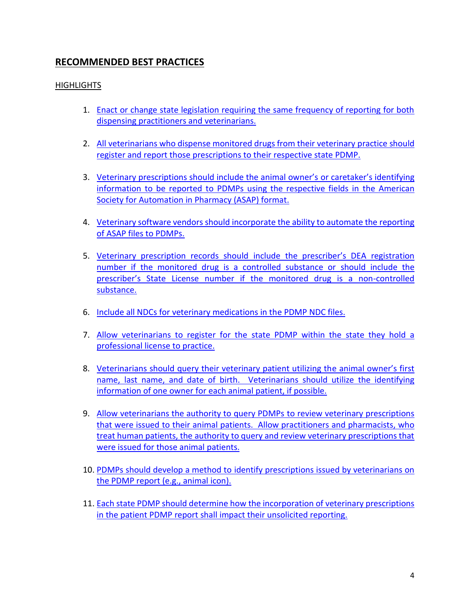#### <span id="page-4-0"></span>**RECOMMENDED BEST PRACTICES**

#### **HIGHLIGHTS**

- 1. Enact or change state legislation requiring the same frequency of reporting for both [dispensing practitioners and veterinarians.](#page-5-0)
- 2. [All veterinarians who dispense monitored drugs from their veterinary practice](#page-5-1) should [register and report those prescriptions to their](#page-5-1) respective state PDMP.
- 3. [Veterinary prescriptions should include the animal owner's](#page-6-0) or caretaker's identifying [information to be reported to PDMPs using the respective fields in the American](#page-6-0)  Society for [Automation in Pharmacy \(ASAP\)](#page-6-0) format.
- 4. [Veterinary software vendors should incorporate the ability to automate the reporting](#page-7-0)  [of ASAP files to PDMPs.](#page-7-0)
- 5. [Veterinary prescription records should include](#page-7-1) the prescriber's DEA registration [number if the monitored drug is a controlled substance or](#page-7-1) should include the prescriber's [State License number if the monitored drug is a non-controlled](#page-7-1)  [substance.](#page-7-1)
- 6. [Include all NDCs for veterinary medications in the PDMP NDC files.](#page-8-0)
- 7. [Allow veterinarians to register for the state PDMP within the state they hold a](#page-8-1)  [professional license to practice.](#page-8-1)
- 8. [Veterinarians should query their veterinary patient utilizing th](#page-9-0)e animal owner's first name, last name, and date of birth. [Veterinarians should utilize the identifying](#page-9-0)  [information of one owner for each animal patient, if possible.](#page-9-0)
- 9. [Allow veterinarians the authority to query PDMPs to review veterinary prescriptions](#page-9-1)  that were issued to their animal [patients. Allow practitioners and pharmacists, who](#page-9-1)  [treat human patients, the authority to query and review veterinary prescriptions that](#page-9-1)  [were issued for those animal](#page-9-1) patients.
- 10. [PDMPs should develop a method to identify prescriptions issued by veterinarians on](#page-10-0)  [the PDMP report \(e.g., animal icon\).](#page-10-0)
- 11. [Each state PDMP should determine how the incorporation of veterinary prescriptions](#page-10-1)  [in the patient PDMP report shall impact their unsolicited reporting.](#page-10-1)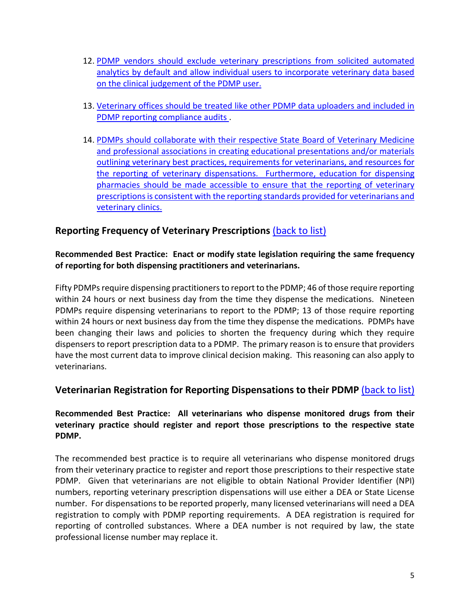- 12. [PDMP vendors should exclude veterinary prescriptions from solicited automated](#page-10-2)  [analytics by default and allow individual users to incorporate veterinary data based](#page-10-2)  [on the clinical judgement of the PDMP user.](#page-10-2)
- 13. [Veterinary offices should be treated like other PDMP data uploaders and included in](#page-11-0)  [PDMP reporting compliance audits .](#page-11-0)
- 14. PDMPs should collaborate with their [respective State Board of Veterinary Medicine](#page-12-0)  and professional associations [in creating educational presentations and/or materials](#page-12-0)  [outlining veterinary best practices, requirements for veterinarians, and resources for](#page-12-0)  [the reporting of veterinary dispensations. Furthermore, education for](#page-12-0) dispensing pharmacies should be made accessible [to ensure that the reporting of veterinary](#page-12-0)  [prescriptions is consistent with the reporting standards provided for veterinarians and](#page-12-0)  [veterinary clinics.](#page-12-0)

#### <span id="page-5-0"></span>**Reporting Frequency of Veterinary Prescriptions** [\(back to list\)](#page-4-0)

#### **Recommended Best Practice: Enact or modify state legislation requiring the same frequency of reporting for both dispensing practitioners and veterinarians.**

Fifty PDMPs require dispensing practitioners to report to the PDMP; 46 of those require reporting within 24 hours or next business day from the time they dispense the medications. Nineteen PDMPs require dispensing veterinarians to report to the PDMP; 13 of those require reporting within 24 hours or next business day from the time they dispense the medications. PDMPs have been changing their laws and policies to shorten the frequency during which they require dispensers to report prescription data to a PDMP. The primary reason is to ensure that providers have the most current data to improve clinical decision making. This reasoning can also apply to veterinarians.

#### <span id="page-5-1"></span>**Veterinarian Registration for Reporting Dispensations to their PDMP** [\(back to list\)](#page-4-0)

#### **Recommended Best Practice: All veterinarians who dispense monitored drugs from their veterinary practice should register and report those prescriptions to the respective state PDMP.**

The recommended best practice is to require all veterinarians who dispense monitored drugs from their veterinary practice to register and report those prescriptions to their respective state PDMP. Given that veterinarians are not eligible to obtain National Provider Identifier (NPI) numbers, reporting veterinary prescription dispensations will use either a DEA or State License number. For dispensations to be reported properly, many licensed veterinarians will need a DEA registration to comply with PDMP reporting requirements. A DEA registration is required for reporting of controlled substances. Where a DEA number is not required by law, the state professional license number may replace it.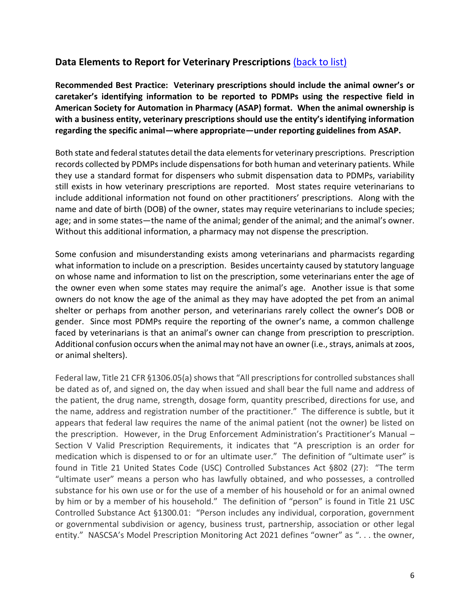#### <span id="page-6-0"></span>**Data Elements to Report for Veterinary Prescriptions** [\(back to list\)](#page-4-0)

**Recommended Best Practice: Veterinary prescriptions should include the animal owner's or caretaker's identifying information to be reported to PDMPs using the respective field in American Society for Automation in Pharmacy (ASAP) format. When the animal ownership is with a business entity, veterinary prescriptions should use the entity's identifying information regarding the specific animal—where appropriate—under reporting guidelines from ASAP.** 

Both state and federal statutes detail the data elements for veterinary prescriptions. Prescription records collected by PDMPs include dispensations for both human and veterinary patients. While they use a standard format for dispensers who submit dispensation data to PDMPs, variability still exists in how veterinary prescriptions are reported. Most states require veterinarians to include additional information not found on other practitioners' prescriptions. Along with the name and date of birth (DOB) of the owner, states may require veterinarians to include species; age; and in some states—the name of the animal; gender of the animal; and the animal's owner. Without this additional information, a pharmacy may not dispense the prescription.

Some confusion and misunderstanding exists among veterinarians and pharmacists regarding what information to include on a prescription. Besides uncertainty caused by statutory language on whose name and information to list on the prescription, some veterinarians enter the age of the owner even when some states may require the animal's age. Another issue is that some owners do not know the age of the animal as they may have adopted the pet from an animal shelter or perhaps from another person, and veterinarians rarely collect the owner's DOB or gender. Since most PDMPs require the reporting of the owner's name, a common challenge faced by veterinarians is that an animal's owner can change from prescription to prescription. Additional confusion occurs when the animal may not have an owner (i.e., strays, animals at zoos, or animal shelters).

Federal law, Title 21 CFR §1306.05(a) shows that "All prescriptions for controlled substances shall be dated as of, and signed on, the day when issued and shall bear the full name and address of the patient, the drug name, strength, dosage form, quantity prescribed, directions for use, and the name, address and registration number of the practitioner." The difference is subtle, but it appears that federal law requires the name of the animal patient (not the owner) be listed on the prescription. However, in the Drug Enforcement Administration's Practitioner's Manual – Section V Valid Prescription Requirements, it indicates that "A prescription is an order for medication which is dispensed to or for an ultimate user." The definition of "ultimate user" is found in Title 21 United States Code (USC) Controlled Substances Act §802 (27): "The term "ultimate user" means a person who has lawfully obtained, and who possesses, a controlled substance for his own use or for the use of a member of his household or for an animal owned by him or by a member of his household." The definition of "person" is found in Title 21 USC Controlled Substance Act §1300.01: "Person includes any individual, corporation, government or governmental subdivision or agency, business trust, partnership, association or other legal entity." NASCSA's Model Prescription Monitoring Act 2021 defines "owner" as "... the owner,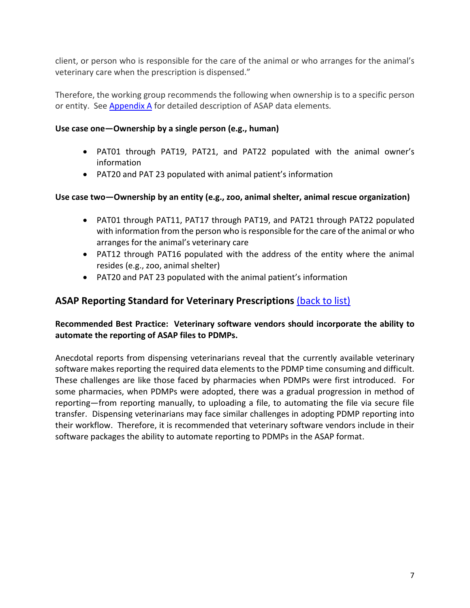client, or person who is responsible for the care of the animal or who arranges for the animal's veterinary care when the prescription is dispensed."

Therefore, the working group recommends the following when ownership is to a specific person or entity. See [Appendix](#page-13-0) A for detailed description of ASAP data elements.

#### **Use case one—Ownership by a single person (e.g., human)**

- PAT01 through PAT19, PAT21, and PAT22 populated with the animal owner's information
- PAT20 and PAT 23 populated with animal patient's information

#### **Use case two—Ownership by an entity (e.g., zoo, animal shelter, animal rescue organization)**

- PAT01 through PAT11, PAT17 through PAT19, and PAT21 through PAT22 populated with information from the person who is responsible for the care of the animal or who arranges for the animal's veterinary care
- PAT12 through PAT16 populated with the address of the entity where the animal resides (e.g., zoo, animal shelter)
- PAT20 and PAT 23 populated with the animal patient's information

#### <span id="page-7-0"></span>**ASAP Reporting Standard for Veterinary Prescriptions** [\(back to list\)](#page-4-0)

#### **Recommended Best Practice: Veterinary software vendors should incorporate the ability to automate the reporting of ASAP files to PDMPs.**

<span id="page-7-1"></span>Anecdotal reports from dispensing veterinarians reveal that the currently available veterinary software makes reporting the required data elements to the PDMP time consuming and difficult. These challenges are like those faced by pharmacies when PDMPs were first introduced. For some pharmacies, when PDMPs were adopted, there was a gradual progression in method of reporting—from reporting manually, to uploading a file, to automating the file via secure file transfer. Dispensing veterinarians may face similar challenges in adopting PDMP reporting into their workflow. Therefore, it is recommended that veterinary software vendors include in their software packages the ability to automate reporting to PDMPs in the ASAP format.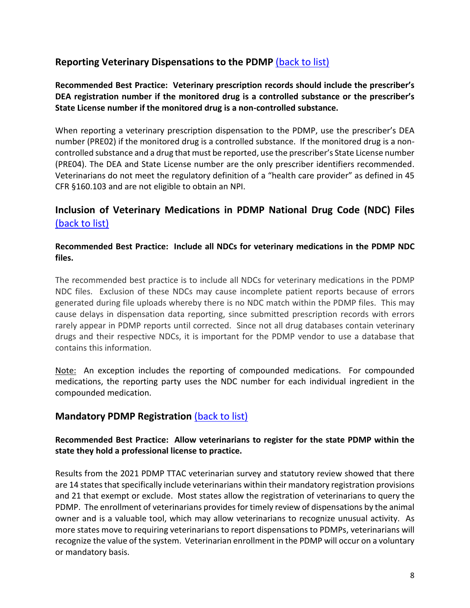#### **Reporting Veterinary Dispensations to the PDMP** [\(back to list\)](#page-4-0)

**Recommended Best Practice: Veterinary prescription records should include the prescriber's DEA registration number if the monitored drug is a controlled substance or the prescriber's State License number if the monitored drug is a non-controlled substance.**

When reporting a veterinary prescription dispensation to the PDMP, use the prescriber's DEA number (PRE02) if the monitored drug is a controlled substance. If the monitored drug is a noncontrolled substance and a drug that must be reported, use the prescriber's State License number (PRE04). The DEA and State License number are the only prescriber identifiers recommended. Veterinarians do not meet the regulatory definition of a "health care provider" as defined in 45 CFR §160.103 and are not eligible to obtain an NPI.

#### <span id="page-8-0"></span>**Inclusion of Veterinary Medications in PDMP National Drug Code (NDC) Files** [\(back to list\)](#page-4-0)

#### **Recommended Best Practice: Include all NDCs for veterinary medications in the PDMP NDC files.**

The recommended best practice is to include all NDCs for veterinary medications in the PDMP NDC files. Exclusion of these NDCs may cause incomplete patient reports because of errors generated during file uploads whereby there is no NDC match within the PDMP files. This may cause delays in dispensation data reporting, since submitted prescription records with errors rarely appear in PDMP reports until corrected. Since not all drug databases contain veterinary drugs and their respective NDCs, it is important for the PDMP vendor to use a database that contains this information.

Note: An exception includes the reporting of compounded medications. For compounded medications, the reporting party uses the NDC number for each individual ingredient in the compounded medication.

#### <span id="page-8-1"></span>**Mandatory PDMP Registration** [\(back to list\)](#page-4-0)

#### **Recommended Best Practice: Allow veterinarians to register for the state PDMP within the state they hold a professional license to practice.**

Results from the 2021 PDMP TTAC veterinarian survey and statutory review showed that there are 14 states that specifically include veterinarians within their mandatory registration provisions and 21 that exempt or exclude. Most states allow the registration of veterinarians to query the PDMP. The enrollment of veterinarians provides for timely review of dispensations by the animal owner and is a valuable tool, which may allow veterinarians to recognize unusual activity. As more states move to requiring veterinarians to report dispensations to PDMPs, veterinarians will recognize the value of the system. Veterinarian enrollment in the PDMP will occur on a voluntary or mandatory basis.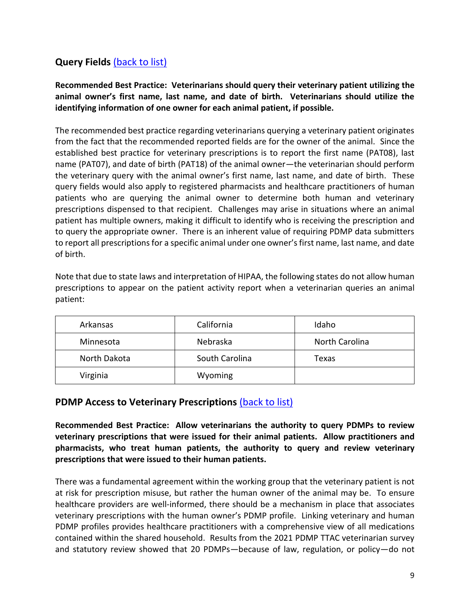#### <span id="page-9-0"></span>**Query Fields** [\(back to list\)](#page-4-0)

**Recommended Best Practice: Veterinarians should query their veterinary patient utilizing the animal owner's first name, last name, and date of birth. Veterinarians should utilize the identifying information of one owner for each animal patient, if possible.**

The recommended best practice regarding veterinarians querying a veterinary patient originates from the fact that the recommended reported fields are for the owner of the animal. Since the established best practice for veterinary prescriptions is to report the first name (PAT08), last name (PAT07), and date of birth (PAT18) of the animal owner—the veterinarian should perform the veterinary query with the animal owner's first name, last name, and date of birth. These query fields would also apply to registered pharmacists and healthcare practitioners of human patients who are querying the animal owner to determine both human and veterinary prescriptions dispensed to that recipient. Challenges may arise in situations where an animal patient has multiple owners, making it difficult to identify who is receiving the prescription and to query the appropriate owner. There is an inherent value of requiring PDMP data submitters to report all prescriptions for a specific animal under one owner's first name, last name, and date of birth.

Note that due to state laws and interpretation of HIPAA, the following states do not allow human prescriptions to appear on the patient activity report when a veterinarian queries an animal patient:

| Arkansas     | California     | Idaho          |
|--------------|----------------|----------------|
| Minnesota    | Nebraska       | North Carolina |
| North Dakota | South Carolina | Texas          |
| Virginia     | Wyoming        |                |

#### <span id="page-9-1"></span>**PDMP Access to Veterinary Prescriptions** [\(back to list\)](#page-4-0)

**Recommended Best Practice: Allow veterinarians the authority to query PDMPs to review veterinary prescriptions that were issued for their animal patients. Allow practitioners and pharmacists, who treat human patients, the authority to query and review veterinary prescriptions that were issued to their human patients.**

There was a fundamental agreement within the working group that the veterinary patient is not at risk for prescription misuse, but rather the human owner of the animal may be. To ensure healthcare providers are well-informed, there should be a mechanism in place that associates veterinary prescriptions with the human owner's PDMP profile. Linking veterinary and human PDMP profiles provides healthcare practitioners with a comprehensive view of all medications contained within the shared household. Results from the 2021 PDMP TTAC veterinarian survey and statutory review showed that 20 PDMPs—because of law, regulation, or policy—do not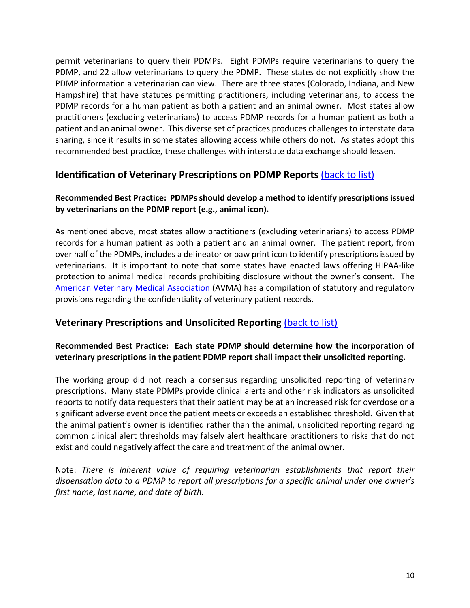permit veterinarians to query their PDMPs. Eight PDMPs require veterinarians to query the PDMP, and 22 allow veterinarians to query the PDMP. These states do not explicitly show the PDMP information a veterinarian can view. There are three states (Colorado, Indiana, and New Hampshire) that have statutes permitting practitioners, including veterinarians, to access the PDMP records for a human patient as both a patient and an animal owner. Most states allow practitioners (excluding veterinarians) to access PDMP records for a human patient as both a patient and an animal owner. This diverse set of practices produces challenges to interstate data sharing, since it results in some states allowing access while others do not. As states adopt this recommended best practice, these challenges with interstate data exchange should lessen.

#### <span id="page-10-0"></span>**Identification of Veterinary Prescriptions on PDMP Reports** [\(back to list\)](#page-4-0)

#### **Recommended Best Practice: PDMPsshould develop a method to identify prescriptions issued by veterinarians on the PDMP report (e.g., animal icon).**

As mentioned above, most states allow practitioners (excluding veterinarians) to access PDMP records for a human patient as both a patient and an animal owner. The patient report, from over half of the PDMPs, includes a delineator or paw print icon to identify prescriptions issued by veterinarians. It is important to note that some states have enacted laws offering HIPAA-like protection to animal medical records prohibiting disclosure without the owner's consent. The American Veterinary Medical [Association](https://www.avma.org/advocacy/state-local-issues/confidentiality-veterinary-patient-records) (AVMA) has a compilation of statutory and regulatory provisions regarding the confidentiality of veterinary patient records.

#### <span id="page-10-1"></span>**Veterinary Prescriptions and Unsolicited Reporting** [\(back to list\)](#page-4-0)

#### **Recommended Best Practice: Each state PDMP should determine how the incorporation of veterinary prescriptions in the patient PDMP report shall impact their unsolicited reporting.**

The working group did not reach a consensus regarding unsolicited reporting of veterinary prescriptions. Many state PDMPs provide clinical alerts and other risk indicators as unsolicited reports to notify data requesters that their patient may be at an increased risk for overdose or a significant adverse event once the patient meets or exceeds an established threshold. Given that the animal patient's owner is identified rather than the animal, unsolicited reporting regarding common clinical alert thresholds may falsely alert healthcare practitioners to risks that do not exist and could negatively affect the care and treatment of the animal owner.

<span id="page-10-2"></span>Note: *There is inherent value of requiring veterinarian establishments that report their dispensation data to a PDMP to report all prescriptions for a specific animal under one owner's first name, last name, and date of birth.*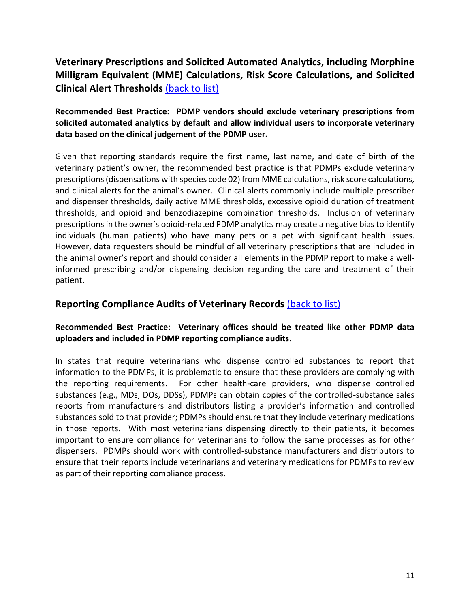#### **Veterinary Prescriptions and Solicited Automated Analytics, including Morphine Milligram Equivalent (MME) Calculations, Risk Score Calculations, and Solicited Clinical Alert Thresholds** [\(back to list\)](#page-4-0)

#### **Recommended Best Practice: PDMP vendors should exclude veterinary prescriptions from solicited automated analytics by default and allow individual users to incorporate veterinary data based on the clinical judgement of the PDMP user.**

Given that reporting standards require the first name, last name, and date of birth of the veterinary patient's owner, the recommended best practice is that PDMPs exclude veterinary prescriptions (dispensations with species code 02) from MME calculations, risk score calculations, and clinical alerts for the animal's owner. Clinical alerts commonly include multiple prescriber and dispenser thresholds, daily active MME thresholds, excessive opioid duration of treatment thresholds, and opioid and benzodiazepine combination thresholds. Inclusion of veterinary prescriptions in the owner's opioid-related PDMP analytics may create a negative bias to identify individuals (human patients) who have many pets or a pet with significant health issues. However, data requesters should be mindful of all veterinary prescriptions that are included in the animal owner's report and should consider all elements in the PDMP report to make a wellinformed prescribing and/or dispensing decision regarding the care and treatment of their patient.

#### <span id="page-11-0"></span>**Reporting Compliance Audits of Veterinary Records** [\(back to list\)](#page-4-0)

#### **Recommended Best Practice: Veterinary offices should be treated like other PDMP data uploaders and included in PDMP reporting compliance audits.**

In states that require veterinarians who dispense controlled substances to report that information to the PDMPs, it is problematic to ensure that these providers are complying with the reporting requirements. For other health-care providers, who dispense controlled substances (e.g., MDs, DOs, DDSs), PDMPs can obtain copies of the controlled-substance sales reports from manufacturers and distributors listing a provider's information and controlled substances sold to that provider; PDMPs should ensure that they include veterinary medications in those reports. With most veterinarians dispensing directly to their patients, it becomes important to ensure compliance for veterinarians to follow the same processes as for other dispensers. PDMPs should work with controlled-substance manufacturers and distributors to ensure that their reports include veterinarians and veterinary medications for PDMPs to review as part of their reporting compliance process.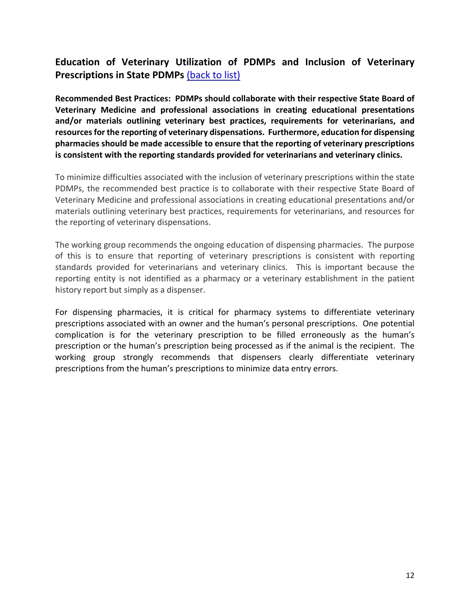#### <span id="page-12-0"></span>**Education of Veterinary Utilization of PDMPs and Inclusion of Veterinary Prescriptions in State PDMPs** [\(back to list\)](#page-4-0)

**Recommended Best Practices: PDMPs should collaborate with their respective State Board of Veterinary Medicine and professional associations in creating educational presentations and/or materials outlining veterinary best practices, requirements for veterinarians, and resourcesfor the reporting of veterinary dispensations. Furthermore, education for dispensing pharmacies should be made accessible to ensure that the reporting of veterinary prescriptions is consistent with the reporting standards provided for veterinarians and veterinary clinics.**

To minimize difficulties associated with the inclusion of veterinary prescriptions within the state PDMPs, the recommended best practice is to collaborate with their respective State Board of Veterinary Medicine and professional associations in creating educational presentations and/or materials outlining veterinary best practices, requirements for veterinarians, and resources for the reporting of veterinary dispensations.

The working group recommends the ongoing education of dispensing pharmacies. The purpose of this is to ensure that reporting of veterinary prescriptions is consistent with reporting standards provided for veterinarians and veterinary clinics. This is important because the reporting entity is not identified as a pharmacy or a veterinary establishment in the patient history report but simply as a dispenser.

For dispensing pharmacies, it is critical for pharmacy systems to differentiate veterinary prescriptions associated with an owner and the human's personal prescriptions. One potential complication is for the veterinary prescription to be filled erroneously as the human's prescription or the human's prescription being processed as if the animal is the recipient. The working group strongly recommends that dispensers clearly differentiate veterinary prescriptions from the human's prescriptions to minimize data entry errors.